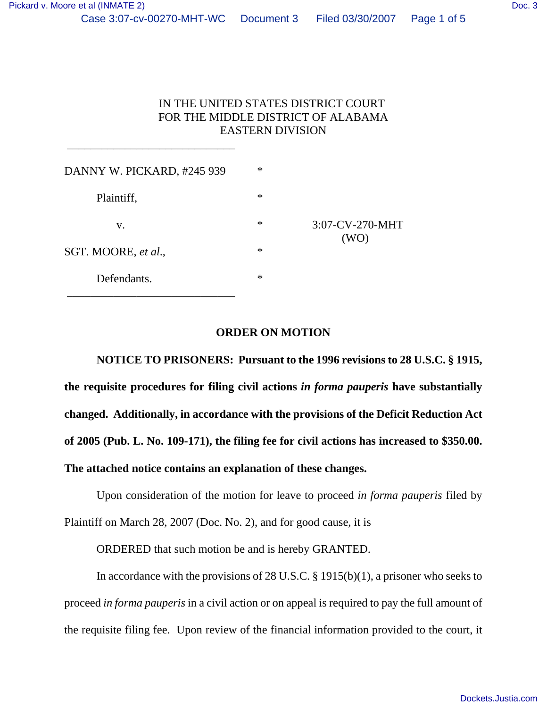# IN THE UNITED STATES DISTRICT COURT FOR THE MIDDLE DISTRICT OF ALABAMA EASTERN DIVISION

| DANNY W. PICKARD, #245 939 | $\ast$ | $3:07$ -CV-270-MHT<br>(WO) |
|----------------------------|--------|----------------------------|
| Plaintiff,                 | $\ast$ |                            |
| v.                         | $\ast$ |                            |
| SGT. MOORE, et al.,        | $\ast$ |                            |
| Defendants.                | $\ast$ |                            |

\_\_\_\_\_\_\_\_\_\_\_\_\_\_\_\_\_\_\_\_\_\_\_\_\_\_\_\_\_

### **ORDER ON MOTION**

**NOTICE TO PRISONERS: Pursuant to the 1996 revisions to 28 U.S.C. § 1915, the requisite procedures for filing civil actions** *in forma pauperis* **have substantially changed. Additionally, in accordance with the provisions of the Deficit Reduction Act of 2005 (Pub. L. No. 109-171), the filing fee for civil actions has increased to \$350.00. The attached notice contains an explanation of these changes.**

Upon consideration of the motion for leave to proceed *in forma pauperis* filed by Plaintiff on March 28, 2007 (Doc. No. 2), and for good cause, it is

ORDERED that such motion be and is hereby GRANTED.

In accordance with the provisions of 28 U.S.C. § 1915(b)(1), a prisoner who seeks to proceed *in forma pauperis* in a civil action or on appeal is required to pay the full amount of the requisite filing fee. Upon review of the financial information provided to the court, it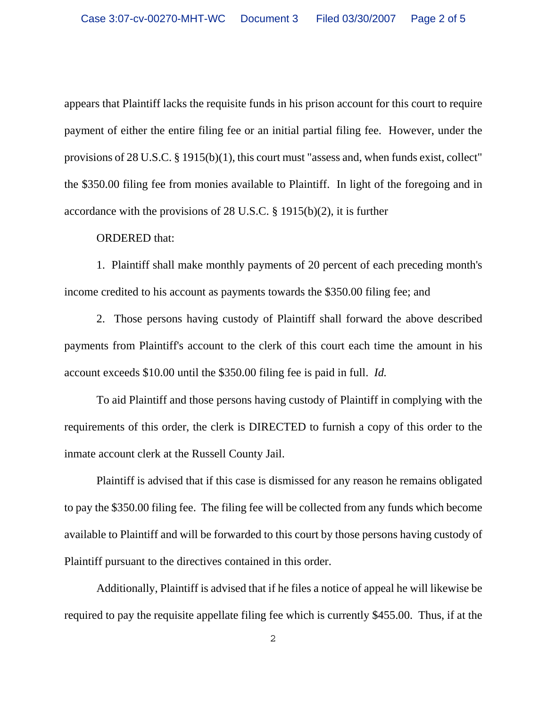appears that Plaintiff lacks the requisite funds in his prison account for this court to require payment of either the entire filing fee or an initial partial filing fee. However, under the provisions of 28 U.S.C. § 1915(b)(1), this court must "assess and, when funds exist, collect" the \$350.00 filing fee from monies available to Plaintiff. In light of the foregoing and in accordance with the provisions of 28 U.S.C. § 1915(b)(2), it is further

#### ORDERED that:

1. Plaintiff shall make monthly payments of 20 percent of each preceding month's income credited to his account as payments towards the \$350.00 filing fee; and

2. Those persons having custody of Plaintiff shall forward the above described payments from Plaintiff's account to the clerk of this court each time the amount in his account exceeds \$10.00 until the \$350.00 filing fee is paid in full. *Id.* 

To aid Plaintiff and those persons having custody of Plaintiff in complying with the requirements of this order, the clerk is DIRECTED to furnish a copy of this order to the inmate account clerk at the Russell County Jail.

Plaintiff is advised that if this case is dismissed for any reason he remains obligated to pay the \$350.00 filing fee. The filing fee will be collected from any funds which become available to Plaintiff and will be forwarded to this court by those persons having custody of Plaintiff pursuant to the directives contained in this order.

Additionally, Plaintiff is advised that if he files a notice of appeal he will likewise be required to pay the requisite appellate filing fee which is currently \$455.00. Thus, if at the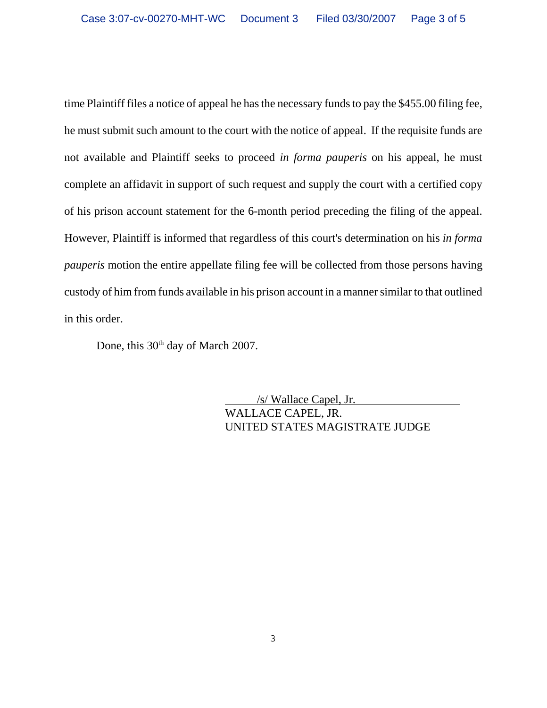time Plaintiff files a notice of appeal he has the necessary funds to pay the \$455.00 filing fee, he must submit such amount to the court with the notice of appeal. If the requisite funds are not available and Plaintiff seeks to proceed *in forma pauperis* on his appeal, he must complete an affidavit in support of such request and supply the court with a certified copy of his prison account statement for the 6-month period preceding the filing of the appeal. However, Plaintiff is informed that regardless of this court's determination on his *in forma pauperis* motion the entire appellate filing fee will be collected from those persons having custody of him from funds available in his prison account in a manner similar to that outlined in this order.

Done, this 30<sup>th</sup> day of March 2007.

 /s/ Wallace Capel, Jr. WALLACE CAPEL, JR. UNITED STATES MAGISTRATE JUDGE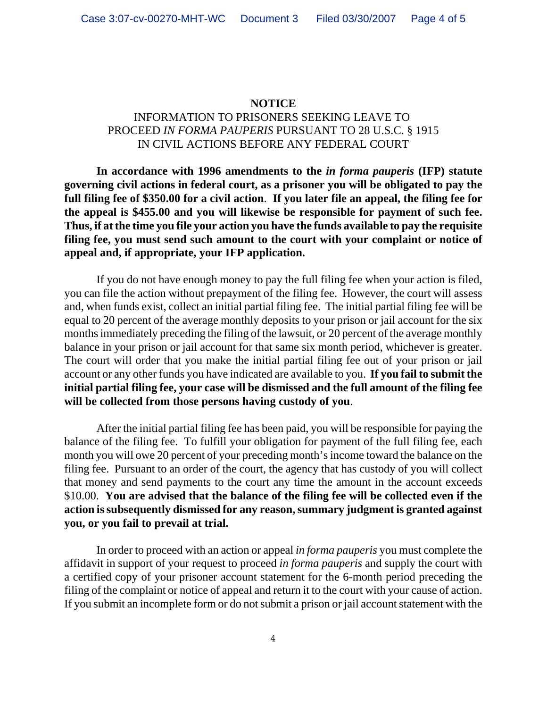### **NOTICE**

# INFORMATION TO PRISONERS SEEKING LEAVE TO PROCEED *IN FORMA PAUPERIS* PURSUANT TO 28 U.S.C. § 1915 IN CIVIL ACTIONS BEFORE ANY FEDERAL COURT

**In accordance with 1996 amendments to the** *in forma pauperis* **(IFP) statute governing civil actions in federal court, as a prisoner you will be obligated to pay the full filing fee of \$350.00 for a civil action**. **If you later file an appeal, the filing fee for the appeal is \$455.00 and you will likewise be responsible for payment of such fee. Thus, if at the time you file your action you have the funds available to pay the requisite filing fee, you must send such amount to the court with your complaint or notice of appeal and, if appropriate, your IFP application.** 

If you do not have enough money to pay the full filing fee when your action is filed, you can file the action without prepayment of the filing fee. However, the court will assess and, when funds exist, collect an initial partial filing fee. The initial partial filing fee will be equal to 20 percent of the average monthly deposits to your prison or jail account for the six months immediately preceding the filing of the lawsuit, or 20 percent of the average monthly balance in your prison or jail account for that same six month period, whichever is greater. The court will order that you make the initial partial filing fee out of your prison or jail account or any other funds you have indicated are available to you. **If you fail to submit the initial partial filing fee, your case will be dismissed and the full amount of the filing fee will be collected from those persons having custody of you**.

After the initial partial filing fee has been paid, you will be responsible for paying the balance of the filing fee. To fulfill your obligation for payment of the full filing fee, each month you will owe 20 percent of your preceding month's income toward the balance on the filing fee. Pursuant to an order of the court, the agency that has custody of you will collect that money and send payments to the court any time the amount in the account exceeds \$10.00. **You are advised that the balance of the filing fee will be collected even if the action is subsequently dismissed for any reason, summary judgment is granted against you, or you fail to prevail at trial.** 

In order to proceed with an action or appeal *in forma pauperis* you must complete the affidavit in support of your request to proceed *in forma pauperis* and supply the court with a certified copy of your prisoner account statement for the 6-month period preceding the filing of the complaint or notice of appeal and return it to the court with your cause of action. If you submit an incomplete form or do not submit a prison or jail account statement with the